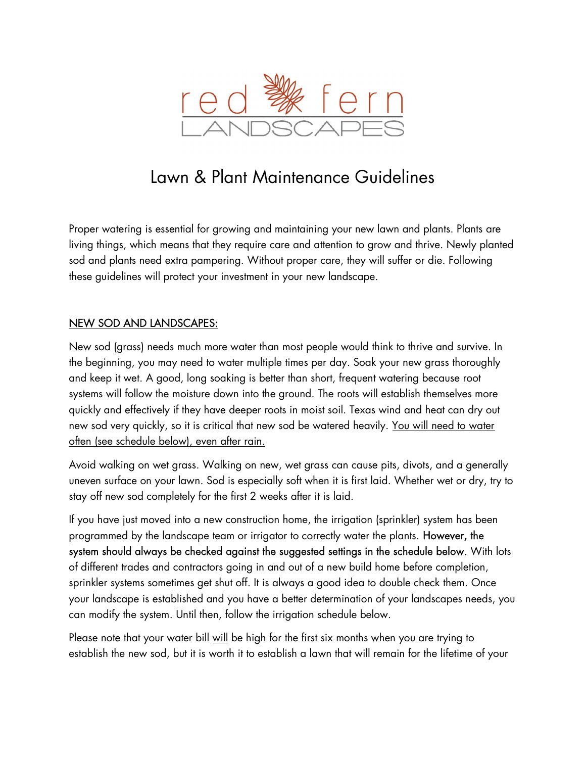

# Lawn & Plant Maintenance Guidelines

Proper watering is essential for growing and maintaining your new lawn and plants. Plants are living things, which means that they require care and attention to grow and thrive. Newly planted sod and plants need extra pampering. Without proper care, they will suffer or die. Following these guidelines will protect your investment in your new landscape.

#### NEW SOD AND LANDSCAPES:

New sod (grass) needs much more water than most people would think to thrive and survive. In the beginning, you may need to water multiple times per day. Soak your new grass thoroughly and keep it wet. A good, long soaking is better than short, frequent watering because root systems will follow the moisture down into the ground. The roots will establish themselves more quickly and effectively if they have deeper roots in moist soil. Texas wind and heat can dry out new sod very quickly, so it is critical that new sod be watered heavily. You will need to water often (see schedule below), even after rain.

Avoid walking on wet grass. Walking on new, wet grass can cause pits, divots, and a generally uneven surface on your lawn. Sod is especially soft when it is first laid. Whether wet or dry, try to stay off new sod completely for the first 2 weeks after it is laid.

If you have just moved into a new construction home, the irrigation (sprinkler) system has been programmed by the landscape team or irrigator to correctly water the plants. However, the system should always be checked against the suggested settings in the schedule below. With lots of different trades and contractors going in and out of a new build home before completion, sprinkler systems sometimes get shut off. It is always a good idea to double check them. Once your landscape is established and you have a better determination of your landscapes needs, you can modify the system. Until then, follow the irrigation schedule below.

Please note that your water bill will be high for the first six months when you are trying to establish the new sod, but it is worth it to establish a lawn that will remain for the lifetime of your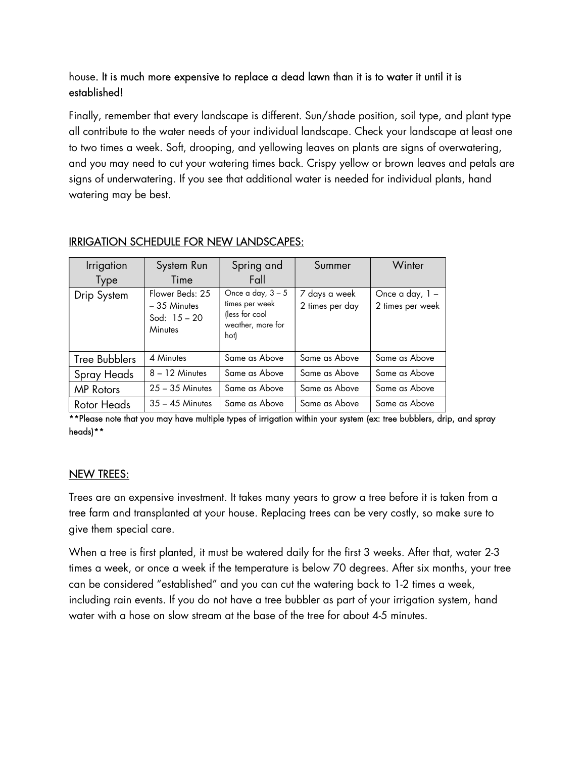## house. It is much more expensive to replace a dead lawn than it is to water it until it is established!

Finally, remember that every landscape is different. Sun/shade position, soil type, and plant type all contribute to the water needs of your individual landscape. Check your landscape at least one to two times a week. Soft, drooping, and yellowing leaves on plants are signs of overwatering, and you may need to cut your watering times back. Crispy yellow or brown leaves and petals are signs of underwatering. If you see that additional water is needed for individual plants, hand watering may be best.

| <i><u><b>Irrigation</b></u></i><br>Type | System Run<br>Time                                            | Spring and<br>Fall                                                                   | Summer                           | Winter                              |
|-----------------------------------------|---------------------------------------------------------------|--------------------------------------------------------------------------------------|----------------------------------|-------------------------------------|
| Drip System                             | Flower Beds: 25<br>$-35$ Minutes<br>Sod: $15 - 20$<br>Minutes | Once a day, $3 - 5$<br>times per week<br>(less for cool<br>weather, more for<br>hot) | 7 days a week<br>2 times per day | Once a day, 1 -<br>2 times per week |
| <b>Tree Bubblers</b>                    | 4 Minutes                                                     | Same as Above                                                                        | Same as Above                    | Same as Above                       |
| Spray Heads                             | $8 - 12$ Minutes                                              | Same as Above                                                                        | Same as Above                    | Same as Above                       |
| <b>MP</b> Rotors                        | $25 - 35$ Minutes                                             | Same as Above                                                                        | Same as Above                    | Same as Above                       |
| Rotor Heads                             | $35 - 45$ Minutes                                             | Same as Above                                                                        | Same as Above                    | Same as Above                       |

## IRRIGATION SCHEDULE FOR NEW LANDSCAPES:

\*\*Please note that you may have multiple types of irrigation within your system (ex: tree bubblers, drip, and spray heads)\*\*

#### NEW TREES:

Trees are an expensive investment. It takes many years to grow a tree before it is taken from a tree farm and transplanted at your house. Replacing trees can be very costly, so make sure to give them special care.

When a tree is first planted, it must be watered daily for the first 3 weeks. After that, water 2-3 times a week, or once a week if the temperature is below 70 degrees. After six months, your tree can be considered "established" and you can cut the watering back to 1-2 times a week, including rain events. If you do not have a tree bubbler as part of your irrigation system, hand water with a hose on slow stream at the base of the tree for about 4-5 minutes.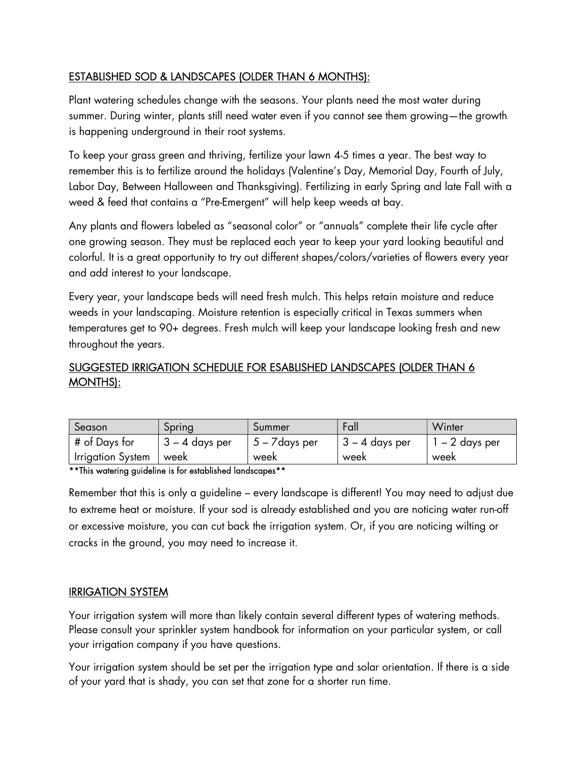## ESTABLISHED SOD & LANDSCAPES (OLDER THAN 6 MONTHS):

Plant watering schedules change with the seasons. Your plants need the most water during summer. During winter, plants still need water even if you cannot see them growing—the growth is happening underground in their root systems.

To keep your grass green and thriving, fertilize your lawn 4-5 times a year. The best way to remember this is to fertilize around the holidays (Valentine's Day, Memorial Day, Fourth of July, Labor Day, Between Halloween and Thanksgiving). Fertilizing in early Spring and late Fall with a weed & feed that contains a "Pre-Emergent" will help keep weeds at bay.

Any plants and flowers labeled as "seasonal color" or "annuals" complete their life cycle after one growing season. They must be replaced each year to keep your yard looking beautiful and colorful. It is a great opportunity to try out different shapes/colors/varieties of flowers every year and add interest to your landscape.

Every year, your landscape beds will need fresh mulch. This helps retain moisture and reduce weeds in your landscaping. Moisture retention is especially critical in Texas summers when temperatures get to 90+ degrees. Fresh mulch will keep your landscape looking fresh and new throughout the years.

## SUGGESTED IRRIGATION SCHEDULE FOR ESABLISHED LANDSCAPES (OLDER THAN 6 MONTHS):

| Season              | <b>Spring</b>  | Summer                | talı             | Winter       |
|---------------------|----------------|-----------------------|------------------|--------------|
| # of Days for       | 3 – 4 days per | $5 - \sqrt{days}$ per | $3 - 4$ days per | – 2 days per |
| I Irrigation System | week           | week                  | week             | week         |

\*\*This watering guideline is for established landscapes\*\*

Remember that this is only a guideline – every landscape is different! You may need to adjust due to extreme heat or moisture. If your sod is already established and you are noticing water run-off or excessive moisture, you can cut back the irrigation system. Or, if you are noticing wilting or cracks in the ground, you may need to increase it.

#### IRRIGATION SYSTEM

Your irrigation system will more than likely contain several different types of watering methods. Please consult your sprinkler system handbook for information on your particular system, or call your irrigation company if you have questions.

Your irrigation system should be set per the irrigation type and solar orientation. If there is a side of your yard that is shady, you can set that zone for a shorter run time.